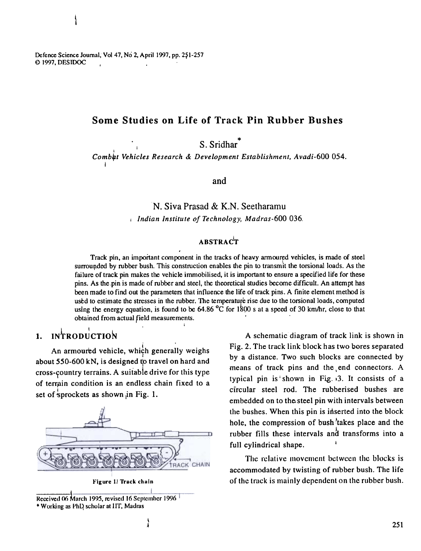## Some Studies on Life of Track Pin Rubber Bushes

\* S. Srid

I Comb~t Vehicles Research & Development Establishment, Avadi-600 054. I

and

N. Siva Prasad & K.N. Seetharamu j Indian Institute of Technology, Madras-600 036.

### ABSTRAC'T

Track pin, an important component in the tracks of heavy armoured vehicles, is made of steel surrounded by rubber bush. This construction enables the pin to transmit the torsional loads. As the failure of track pin makes the vehicle immobilised, it is important to ensure a specified life for these pins. As the pin is made of rubber and steel, the theoretical studies become difficult. An attempt has been made to find out the parameters that influence the life of track pins. A finite element method is ustd to estimate the stresses in the rubber. The temperature rise due to the torsional loads, computed using the energy equation, is found to be 64.86  $^{\circ}$ C for 1800 s at a speed of 30 km/hr, close to that obtained from actual field measurements. !

# $1.$  INTRODUCTION

An armoured vehicle, which generally weighs about 550-600 kN, is designed to travel on hard and cross-country terrains. A suitable drive for this type of terrain condition is an endless chain fixed to a set of sprockets as shown in Fig. 1.



Reccived 06 March 1995, revised 16 September 1996 \* Working as PhD scholar at IIT, Madras

A schematic diagram of track link is shown in Fig. 2. The track link block has two bores separated by a distance. Two such blocks are connected by means of track pins and the,end connectors. A typical pin is shown in Fig.  $3$ . It consists of a circular steel rod. The rubberised bushes are embedded on to thelsteel pin with intervals between the bushes. When this pin is interted into the block hole, the compression of bush 'takes place and the rubber fills these intervals and transforms into a full cylindrical shape.

The relative movement between the blocks is accommodated by twisting of rubber bush. The life Figure I left track chuin of the track is mainly dependent on the rubber bush.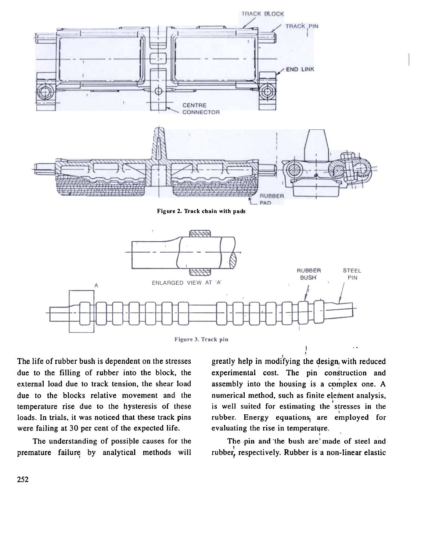

Figure 3. Track pin

The life of rubber bush is dependent on the stresses due to the filling of rubber into the block, the external load due to track tension, the shear load due to the blocks relative movement and the temperature rise due to the hysteresis of these loads. In trials, it was noticed that these track pins were failing at 30 per cent of the expected life.

The understanding of possiple causes for the premature failure by analytical methods will

I, greatly help in modifying the design, with reduce experimental cost. The pin construction and assembly into the housing is a complex one.  $\mu$ numerical method, such as finite element analysis, , is well suited for estimating the stresses in the rubber. Energy equations are employed fo evaluating the rise in temperatur

The pin and the bush are' made of steel and , rubber, respectively. Rubber is a non-linear elasti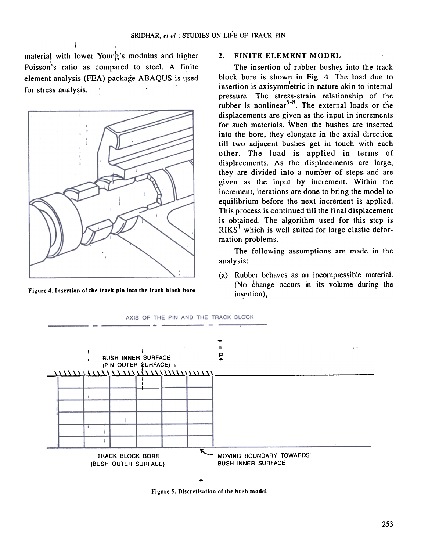material with lower Young's modulus and higher Poisson's ratio as compared to steel. A finite element analysis (FEA) package ABAQUS is used for stress analysis.

i



Figure 4. Insertion of the track pin into the track block bore

#### 2. FINITE ELEMENT MODEL

The insertion of rubber bushes into the track block bore is shown in Fig. 4. The load due to insertion is axisymmetric in nature akin to internal pressure. The stress-strain relationship of the rubber is nonlinear<sup>5-8</sup>. The external loads or the displacements are given as the input in increments for such materials. When the bushes are inserted into the bore, they elongate in the axial direction till two adjacent bushes get in touch with each other. The load is applied in terms of displacements. As the displacements are large, they are divided into a number of steps and are given as the input by increment. Within the increment, iterations are done to bring the model to equilibrium before the next increment is applied. This process is continued till the final displacement is obtained. The algorithm used for this step is  $RIKS<sup>1</sup>$  which is well suited for large elastic deformation problems.

The following assumptions are made in the analwsis:

(a) Rubber behaves as an incompressible material. (No  $\dot{\text{change}}$  occurs in its volume during the insertion),



Figure 5. Discretisation of the bush model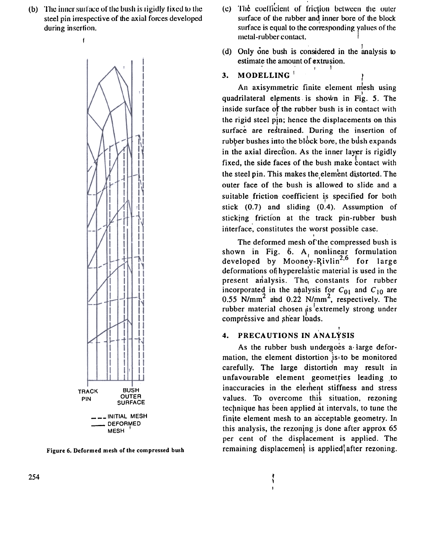(b) The inner surface of the bush is rigidly fixed to the steel pin irrespective of the axial forces developed during insertion.



Figure 6. Deformed mesh of the compressed bush

- (c) The coefficient of friction between the outer surface of the rubber and inner bore of the block surface is equal to the corresponding values of the metal-rubber contact.
- (d) Only one bush is considered in the analysis to estimate the amount of extrusion.
- MODELLING  $3<sub>1</sub>$

An axisymmetric finite element mesh using quadrilateral elements is shown in Fig. 5. The inside surface of the rubber bush is in contact with the rigid steel pin; hence the displacements on this surface are restrained. During the insertion of rubber bushes into the block bore, the bush expands in the axial direction. As the inner layer is rigidly fixed, the side faces of the bush make contact with the steel pin. This makes the element distorted. The outer face of the bush is allowed to slide and a suitable friction coefficient is specified for both stick  $(0.7)$  and sliding  $(0.4)$ . Assumption of sticking friction at the track pin-rubber bush interface, constitutes the worst possible case.

The deformed mesh of the compressed bush is shown in Fig.  $6.$  A, nonlinear formulation developed by Mooney-Rivlin<sup>2,6</sup> for large deformations of hyperelastic material is used in the present analysis. The constants for rubber incorporated in the analysis for  $C_{01}$  and  $C_{10}$  are  $0.55$  N/mm<sup>2</sup> and  $0.22$  N/mm<sup>2</sup>, respectively. The rubber material chosen as extremely strong under compréssive and shear loads.

#### PRECAUTIONS IN ANALYSIS  $\mathbf{4}$ .

Ŷ

As the rubber bush undergoes a large deformation, the element distortion is to be monitored carefully. The large distortion may result in unfavourable element geometries leading to inaccuracies in the element stiffness and stress values. To overcome this situation, rezoning technique has been applied at intervals, to tune the finite element mesh to an acceptable geometry. In this analysis, the rezoning is done after approx 65 per cent of the displacement is applied. The remaining displacement is applied, after rezoning.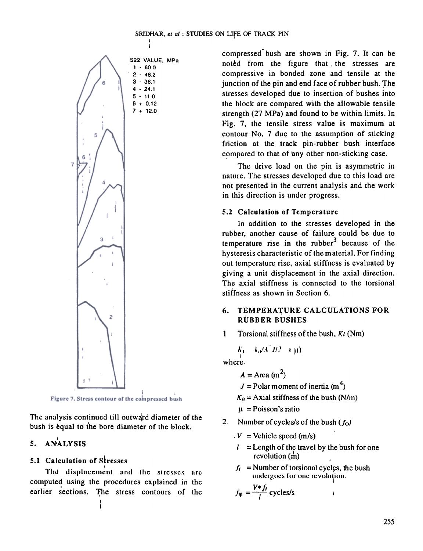

Figure 7. Stress contour of the compressed bush

The analysis continued till outward diameter of the bush is equal to the bore diameter of the block.

# 5. AN $A$

#### 5.1 Calculation or Stresses

I The displacement and the stresses are computed using the procedures explained in the earlier sections. The stress contours of the compressed" bush are shown in Fig. 7. It can be noted from the figure that the stresses are compressive in bonded zone and tensile at the junction of the pin and end face of rubber bush. The stresses developed due to insertion of bushes into the block are compared with the ailowable tensile strength  $(27 \text{ MPa})$  and found to be within limits. In Fig. 7. the tensile stress value is maximum at contour No.7 due to the assumption of sticking friction at the track pin-rubber bush interface compared to that of 'any other non-sticking case.

The drive load on the pin is asymmetric in nature. The stresses developed due to this load are not presented in the current analysis and the work in this direction is under progress.

#### 5.2 Calculation of Temperature

In addition to the stresses developed in the rubber, another cause of failure could be due to temperature rise in the rubber $<sup>3</sup>$  because of the</sup> hysteresis characteristic of the m aterial. For finding out temperature rise, axial stiffness is evaluated by giving a unit displacement in the axial direction. The axial stiffness is connected to the torsional stiffness as shown in Section 6.

#### TEMPERATURE CALCULATIONS FOR RUBBER BUSHES 6.

1 Torsional stiffness of the bush,  $Kt$  (Nm)

$$
K_L = \lambda_0 \sqrt{A^2} M^2 = \exp(-1)
$$

ا<br>wher

- $A = \text{Area (m}^2)$
- $J =$ Polar moment of inertia (m<sup>4</sup>)
- $K_a =$  Axial stiffness of the bush (N/m)

 $\mu$  = Poisson's ratio

- 2. Number of cycles/s of the bush ( $f_{\text{O}}$ )
	- $V =$  Vehicle speed (m/s)
	- $l =$  Length of the travel by the bush for one revolution  $(\dot{m})$
	- $I_1$  = Number of torsional cycles, the bush undergoes for one revoluti

$$
f_{\varphi} = \frac{V * f_t}{l}
$$
 cycles/s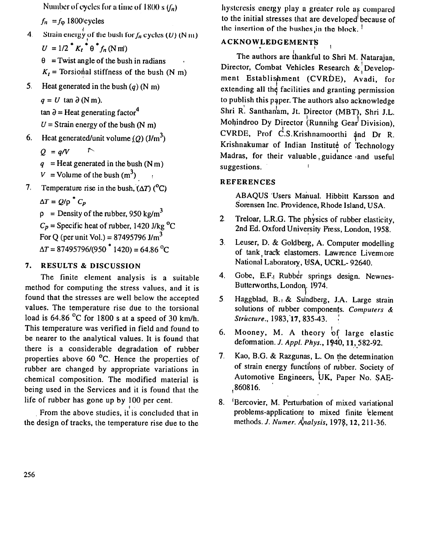Number of cycles for a time of 1800 s  $(f_n)$ 

 $f_n = f_\text{0} 1800$  cycles

Strain energy of the bush for  $f_n$  cycles (U) (N m)  $\overline{4}$  $U = 1/2$ <sup>\*</sup>  $K_t$ <sup>\*</sup>  $\theta$ <sup>\*</sup> $f_n$ (N m')

 $\theta$  = Twist angle of the bush in radians  $K_t$  = Torsional stiffness of the bush (N m)

Heat generated in the bush  $(q)$  (N m)  $5<sub>1</sub>$ 

 $q = U \tan \partial (N m)$ .

 $\tan \theta =$  Heat generating factor<sup>4</sup>

 $U =$  Strain energy of the bush (N m)

- Heat generated/unit volume (O)  $(J/m^3)$ 6.
	- $Q = q/V$

 $q =$ Heat generated in the bush (N m)

- $V =$ Volume of the bush  $(m^3)$
- Temperature rise in the bush,  $(\Delta T)$  (<sup>o</sup>C)  $7.$

 $\Delta T = Q/\rho^* C_p$ 

 $\rho$  = Density of the rubber, 950 kg/m<sup>3</sup>  $C_p$  = Specific heat of rubber, 1420 J/kg <sup>o</sup>C For Q (per unit Vol.) =  $87495796$  J/m<sup>3</sup>  $\Delta T = 87495796/(950 \times 1420) = 64.86 \text{ °C}$ 

#### 7. **RESULTS & DISCUSSION**

The finite element analysis is a suitable method for computing the stress values, and it is found that the stresses are well below the accepted values. The temperature rise due to the torsional load is  $64.86$  °C for 1800 s at a speed of 30 km/h. This temperature was verified in field and found to be nearer to the analytical values. It is found that there is a considerable degradation of rubber properties above 60 $^{\circ}$ C. Hence the properties of rubber are changed by appropriate variations in chemical composition. The modified material is being used in the Services and it is found that the life of rubber has gone up by 100 per cent.

From the above studies, it is concluded that in the design of tracks, the temperature rise due to the hysteresis energy play a greater role as compared to the initial stresses that are developed because of the insertion of the bushes in the block.<sup>1</sup>

### **ACKNOWLEDGEMENTS**

The authors are thankful to Shri M. Natarajan, Director, Combat Vehicles Research  $\&$  Development Establishment (CVRDE), Avadi, for extending all the facilities and granting permission to publish this paper. The authors also acknowledge Shri R. Santhanam, Jt. Director (MBT), Shri J.L. Mohindroo Dy Director (Running Gear Division). CVRDE, Prof C.S.Krishnamoorthi and Dr R. Krishnakumar of Indian Institute of Technology Madras, for their valuable, guidance and useful suggestions.

#### **REFERENCES**

ABAQUS Users Manual. Hibbitt Karsson and Sorensen Inc. Providence, Rhode Island, USA.

- Treloar, L.R.G. The physics of rubber elasticity,  $2<sup>1</sup>$ 2nd Ed. Oxford University Press, London, 1958.
- Leuser, D. & Goldberg, A. Computer modelling  $3<sub>l</sub>$ of tank track elastomers. Lawrence Livermore National Laboratory, USA, UCRL-92640.
- Gobe, E.F. Rubber springs design. Newnes-4. Butterworths, London. 1974.
- Haggblad, B., & Sundberg, J.A. Large strain  $5<sub>1</sub>$ solutions of rubber components. Computers & Structure., 1983, 17, 835-43.
- Mooney, M. A theory of large elastic 6. deformation. J. Appl. Phys., 1940, 11, 582-92.
- Kao, B.G. & Razgunas, L. On the determination  $7<sub>1</sub>$ of strain energy functions of rubber. Society of Automotive Engineers, UK, Paper No. SAE-,860816.
- 8. 'Bercovier, M. Perturbation of mixed variational problems-application to mixed finite element methods. J. Numer. Analysis, 1978, 12, 211-36.